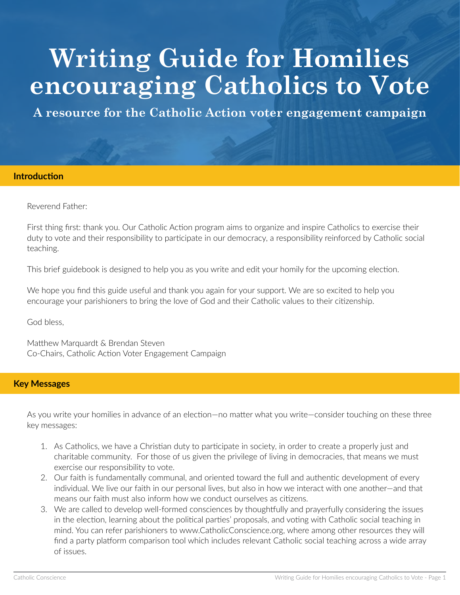# **Writing Guide for Homilies encouraging Catholics to Vote**

**A resource for the Catholic Action voter engagement campaign**

#### **Introduction**

Reverend Father:

First thing first: thank you. Our Catholic Action program aims to organize and inspire Catholics to exercise their duty to vote and their responsibility to participate in our democracy, a responsibility reinforced by Catholic social teaching.

This brief guidebook is designed to help you as you write and edit your homily for the upcoming election.

We hope you find this guide useful and thank you again for your support. We are so excited to help you encourage your parishioners to bring the love of God and their Catholic values to their citizenship.

God bless,

Matthew Marquardt & Brendan Steven Co-Chairs, Catholic Action Voter Engagement Campaign

### **Key Messages**

As you write your homilies in advance of an election—no matter what you write—consider touching on these three key messages:

- 1. As Catholics, we have a Christian duty to participate in society, in order to create a properly just and charitable community. For those of us given the privilege of living in democracies, that means we must exercise our responsibility to vote.
- 2. Our faith is fundamentally communal, and oriented toward the full and authentic development of every individual. We live our faith in our personal lives, but also in how we interact with one another—and that means our faith must also inform how we conduct ourselves as citizens.
- 3. We are called to develop well-formed consciences by thoughtfully and prayerfully considering the issues in the election, learning about the political parties' proposals, and voting with Catholic social teaching in mind. You can refer parishioners to www.CatholicConscience.org, where among other resources they will find a party platform comparison tool which includes relevant Catholic social teaching across a wide array of issues.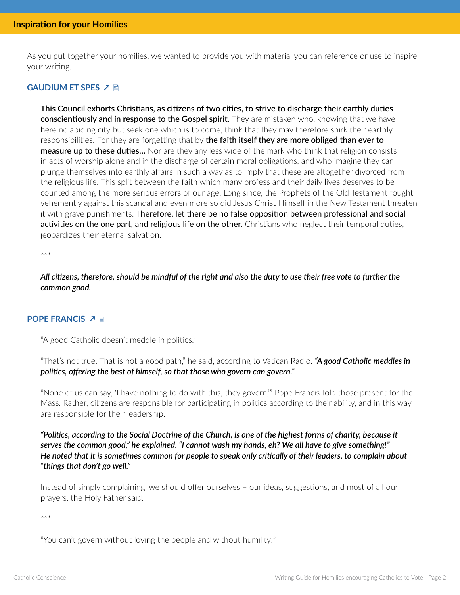As you put together your homilies, we wanted to provide you with material you can reference or use to inspire your writing.

### **GAUDIUM ET SPES 기**

**This Council exhorts Christians, as citizens of two cities, to strive to discharge their earthly duties conscientiously and in response to the Gospel spirit.** They are mistaken who, knowing that we have here no abiding city but seek one which is to come, think that they may therefore shirk their earthly responsibilities. For they are forgetting that by **the faith itself they are more obliged than ever to measure up to these duties…** Nor are they any less wide of the mark who think that religion consists in acts of worship alone and in the discharge of certain moral obligations, and who imagine they can plunge themselves into earthly affairs in such a way as to imply that these are altogether divorced from the religious life. This split between the faith which many profess and their daily lives deserves to be counted among the more serious errors of our age. Long since, the Prophets of the Old Testament fought vehemently against this scandal and even more so did Jesus Christ Himself in the New Testament threaten it with grave punishments. Therefore, let there be no false opposition between professional and social activities on the one part, and religious life on the other. Christians who neglect their temporal duties, jeopardizes their eternal salvation.

\*\*\*

*All citizens, therefore, should be mindful of the right and also the duty to use their free vote to further the common good.*

### **POPE FRANCIS ノ目**

"A good Catholic doesn't meddle in politics."

"That's not true. That is not a good path," he said, according to Vatican Radio. *"A good Catholic meddles in politics, offering the best of himself, so that those who govern can govern."*

"None of us can say, 'I have nothing to do with this, they govern,'" Pope Francis told those present for the Mass. Rather, citizens are responsible for participating in politics according to their ability, and in this way are responsible for their leadership.

*"Politics, according to the Social Doctrine of the Church, is one of the highest forms of charity, because it serves the common good," he explained. "I cannot wash my hands, eh? We all have to give something!" He noted that it is sometimes common for people to speak only critically of their leaders, to complain about "things that don't go well."*

Instead of simply complaining, we should offer ourselves – our ideas, suggestions, and most of all our prayers, the Holy Father said.

\*\*\*

"You can't govern without loving the people and without humility!"